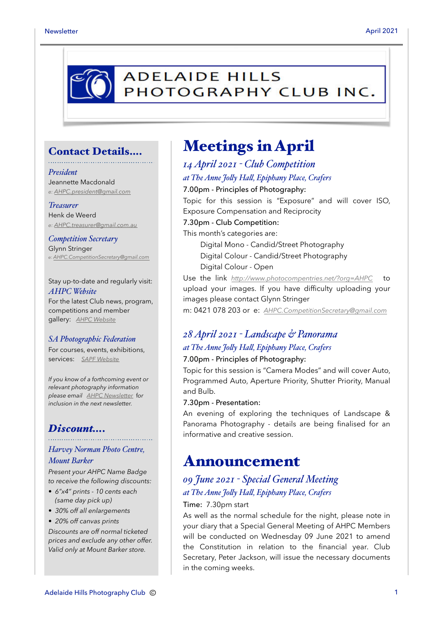

### Contact Details….

#### *President*

Jeannette Macdonald *e: [AHPC.president@gmail.com](mailto:AHPC.president@gmail.com)*

#### *Treasurer*

Henk de Weerd *e: [AHPC.treasurer@gmail.com.au](mailto:AHPC.treasurer@gmail.com.au)*

*Competition Secretary* Glynn Stringer *e: [AHPC.CompetitionSecretary@gmail.com](mailto:AHPC.CompetitionSecretary@gmail.com)*

Stay up-to-date and regularly visit: *AHPC Website* For the latest Club news, program, competitions and member gallery: *[AHPC Website](http://www.adelaidehillsphotographyclub.com.au)*

#### *SA Photographic Federation*

For courses, events, exhibitions, services: *[SAPF Website](https://www.sapf.org.au)*

*If you know of a forthcoming event or relevant photography information please email [AHPC Newsletter](mailto:paulaphotoclick@gmail.com)* f*or inclusion in the next newsletter.* 

### *Discount….*

### *Harvey Norman Photo Centre, Mount Barker*

*Present your AHPC Name Badge to receive the following discounts:* 

- *6"x4" prints 10 cents each (same day pick up)*
- *30% off all enlargements*
- *20% off canvas prints*

*Discounts are off normal ticketed prices and exclude any other offer. Valid only at Mount Barker store.*

# Meetings in April

### *14 April 2021 - Club Competition at The Anne Joly Hal, Epiphany Place, Crafers* 7.00pm - Principles of Photography: Topic for this session is "Exposure" and will cover ISO, Exposure Compensation and Reciprocity 7.30pm - Club Competition: This month's categories are: Digital Mono - Candid/Street Photography Digital Colour - Candid/Street Photography Digital Colour - Open Use the link *<http://www.photocompentries.net/?org=AHPC>* to upload your images. If you have difficulty uploading your images please contact Glynn Stringer

m: 0421 078 203 or e: *[AHPC.CompetitionSecretary@gmail.com](mailto:AHPC.CompetitionSecretary@gmail.com)*

## *28 April 2021 - Landscape & Panorama at The Anne Joly Hal, Epiphany Place, Crafers*

#### 7.00pm - Principles of Photography:

Topic for this session is "Camera Modes" and will cover Auto, Programmed Auto, Aperture Priority, Shutter Priority, Manual and Bulb.

#### 7.30pm - Presentation:

An evening of exploring the techniques of Landscape & Panorama Photography - details are being finalised for an informative and creative session.

## Announcement

## *09 June 2021 - Special General Meeting at The Anne Joly Hal, Epiphany Place, Crafers*

#### Time: 7.30pm start

As well as the normal schedule for the night, please note in your diary that a Special General Meeting of AHPC Members will be conducted on Wednesday 09 June 2021 to amend the Constitution in relation to the financial year. Club Secretary, Peter Jackson, will issue the necessary documents in the coming weeks.